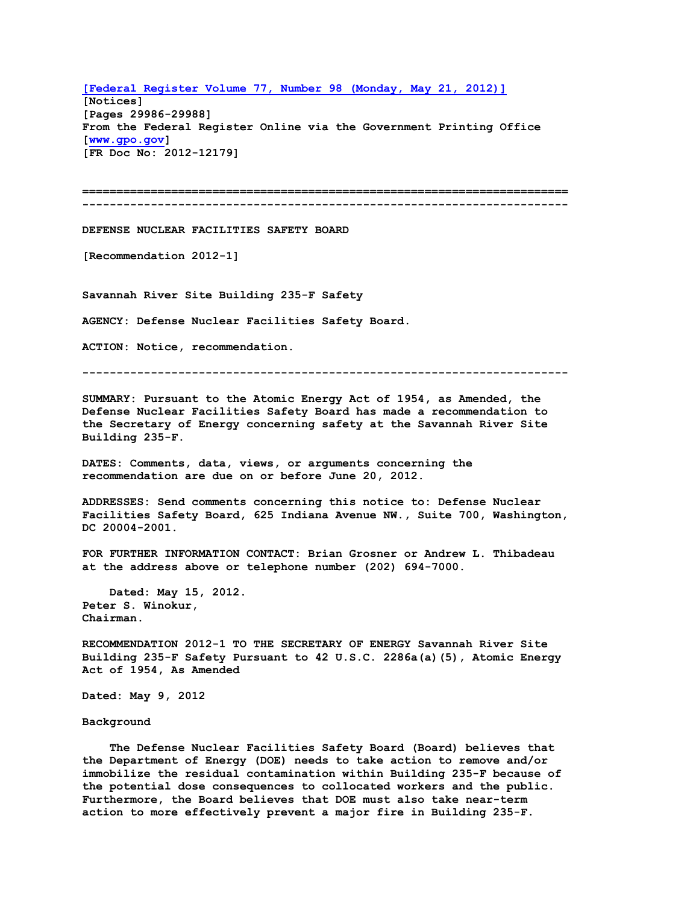**[\[Federal Register Volume 77, Number 98 \(Monday, May 21, 2012\)\]](http://www.dnfsb.gov/sites/default/files/052112Vol77%20No98DNFSBecommendation2012-12179.pdf) [Notices] [Pages 29986-29988] From the Federal Register Online via the Government Printing Office [\[www.gpo.gov\]](http://www.gpo.gov/) [FR Doc No: 2012-12179]**

**======================================================================= -----------------------------------------------------------------------**

**DEFENSE NUCLEAR FACILITIES SAFETY BOARD**

**[Recommendation 2012-1]**

**Savannah River Site Building 235-F Safety**

**AGENCY: Defense Nuclear Facilities Safety Board.**

**ACTION: Notice, recommendation.**

**-----------------------------------------------------------------------**

**SUMMARY: Pursuant to the Atomic Energy Act of 1954, as Amended, the Defense Nuclear Facilities Safety Board has made a recommendation to the Secretary of Energy concerning safety at the Savannah River Site Building 235-F.**

**DATES: Comments, data, views, or arguments concerning the recommendation are due on or before June 20, 2012.**

**ADDRESSES: Send comments concerning this notice to: Defense Nuclear Facilities Safety Board, 625 Indiana Avenue NW., Suite 700, Washington, DC 20004-2001.**

**FOR FURTHER INFORMATION CONTACT: Brian Grosner or Andrew L. Thibadeau at the address above or telephone number (202) 694-7000.**

 **Dated: May 15, 2012. Peter S. Winokur, Chairman.**

**RECOMMENDATION 2012-1 TO THE SECRETARY OF ENERGY Savannah River Site Building 235-F Safety Pursuant to 42 U.S.C. 2286a(a)(5), Atomic Energy Act of 1954, As Amended**

**Dated: May 9, 2012**

## **Background**

 **The Defense Nuclear Facilities Safety Board (Board) believes that the Department of Energy (DOE) needs to take action to remove and/or immobilize the residual contamination within Building 235-F because of the potential dose consequences to collocated workers and the public. Furthermore, the Board believes that DOE must also take near-term action to more effectively prevent a major fire in Building 235-F.**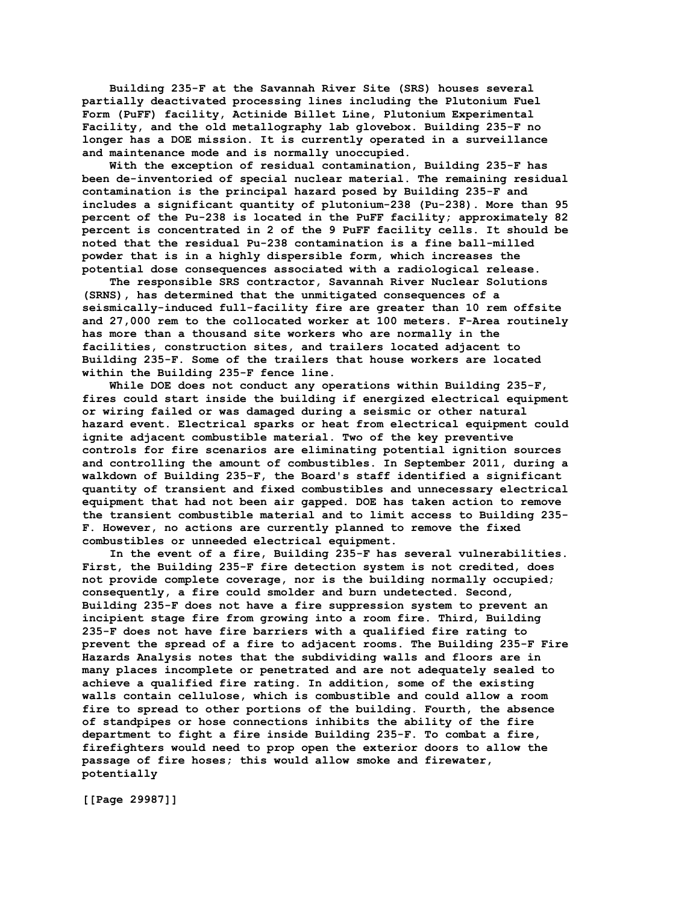**Building 235-F at the Savannah River Site (SRS) houses several partially deactivated processing lines including the Plutonium Fuel Form (PuFF) facility, Actinide Billet Line, Plutonium Experimental Facility, and the old metallography lab glovebox. Building 235-F no longer has a DOE mission. It is currently operated in a surveillance and maintenance mode and is normally unoccupied.**

 **With the exception of residual contamination, Building 235-F has been de-inventoried of special nuclear material. The remaining residual contamination is the principal hazard posed by Building 235-F and includes a significant quantity of plutonium-238 (Pu-238). More than 95 percent of the Pu-238 is located in the PuFF facility; approximately 82 percent is concentrated in 2 of the 9 PuFF facility cells. It should be noted that the residual Pu-238 contamination is a fine ball-milled powder that is in a highly dispersible form, which increases the potential dose consequences associated with a radiological release.**

 **The responsible SRS contractor, Savannah River Nuclear Solutions (SRNS), has determined that the unmitigated consequences of a seismically-induced full-facility fire are greater than 10 rem offsite and 27,000 rem to the collocated worker at 100 meters. F-Area routinely has more than a thousand site workers who are normally in the facilities, construction sites, and trailers located adjacent to Building 235-F. Some of the trailers that house workers are located within the Building 235-F fence line.**

 **While DOE does not conduct any operations within Building 235-F, fires could start inside the building if energized electrical equipment or wiring failed or was damaged during a seismic or other natural hazard event. Electrical sparks or heat from electrical equipment could ignite adjacent combustible material. Two of the key preventive controls for fire scenarios are eliminating potential ignition sources and controlling the amount of combustibles. In September 2011, during a walkdown of Building 235-F, the Board's staff identified a significant quantity of transient and fixed combustibles and unnecessary electrical equipment that had not been air gapped. DOE has taken action to remove the transient combustible material and to limit access to Building 235- F. However, no actions are currently planned to remove the fixed combustibles or unneeded electrical equipment.**

 **In the event of a fire, Building 235-F has several vulnerabilities. First, the Building 235-F fire detection system is not credited, does not provide complete coverage, nor is the building normally occupied; consequently, a fire could smolder and burn undetected. Second, Building 235-F does not have a fire suppression system to prevent an incipient stage fire from growing into a room fire. Third, Building 235-F does not have fire barriers with a qualified fire rating to prevent the spread of a fire to adjacent rooms. The Building 235-F Fire Hazards Analysis notes that the subdividing walls and floors are in many places incomplete or penetrated and are not adequately sealed to achieve a qualified fire rating. In addition, some of the existing walls contain cellulose, which is combustible and could allow a room fire to spread to other portions of the building. Fourth, the absence of standpipes or hose connections inhibits the ability of the fire department to fight a fire inside Building 235-F. To combat a fire, firefighters would need to prop open the exterior doors to allow the passage of fire hoses; this would allow smoke and firewater, potentially**

**[[Page 29987]]**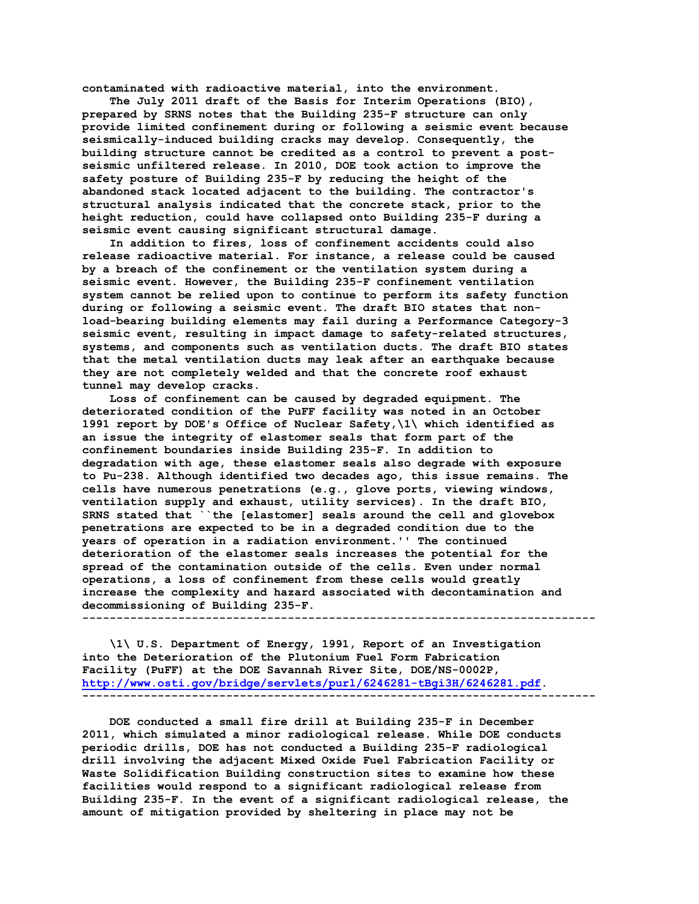**contaminated with radioactive material, into the environment.**

 **The July 2011 draft of the Basis for Interim Operations (BIO), prepared by SRNS notes that the Building 235-F structure can only provide limited confinement during or following a seismic event because seismically-induced building cracks may develop. Consequently, the building structure cannot be credited as a control to prevent a postseismic unfiltered release. In 2010, DOE took action to improve the safety posture of Building 235-F by reducing the height of the abandoned stack located adjacent to the building. The contractor's structural analysis indicated that the concrete stack, prior to the height reduction, could have collapsed onto Building 235-F during a seismic event causing significant structural damage.**

 **In addition to fires, loss of confinement accidents could also release radioactive material. For instance, a release could be caused by a breach of the confinement or the ventilation system during a seismic event. However, the Building 235-F confinement ventilation system cannot be relied upon to continue to perform its safety function during or following a seismic event. The draft BIO states that nonload-bearing building elements may fail during a Performance Category-3 seismic event, resulting in impact damage to safety-related structures, systems, and components such as ventilation ducts. The draft BIO states that the metal ventilation ducts may leak after an earthquake because they are not completely welded and that the concrete roof exhaust tunnel may develop cracks.**

 **Loss of confinement can be caused by degraded equipment. The deteriorated condition of the PuFF facility was noted in an October 1991 report by DOE's Office of Nuclear Safety,\1\ which identified as an issue the integrity of elastomer seals that form part of the confinement boundaries inside Building 235-F. In addition to degradation with age, these elastomer seals also degrade with exposure to Pu-238. Although identified two decades ago, this issue remains. The cells have numerous penetrations (e.g., glove ports, viewing windows, ventilation supply and exhaust, utility services). In the draft BIO, SRNS stated that ``the [elastomer] seals around the cell and glovebox penetrations are expected to be in a degraded condition due to the years of operation in a radiation environment.'' The continued deterioration of the elastomer seals increases the potential for the spread of the contamination outside of the cells. Even under normal operations, a loss of confinement from these cells would greatly increase the complexity and hazard associated with decontamination and decommissioning of Building 235-F. ---------------------------------------------------------------------------**

 **\1\ U.S. Department of Energy, 1991, Report of an Investigation into the Deterioration of the Plutonium Fuel Form Fabrication Facility (PuFF) at the DOE Savannah River Site, DOE/NS-0002P, [http://www.osti.gov/bridge/servlets/purl/6246281-tBgi3H/6246281.pdf.](http://www.osti.gov/bridge/servlets/purl/6246281-tBgi3H/6246281.pdf) ---------------------------------------------------------------------------**

 **DOE conducted a small fire drill at Building 235-F in December 2011, which simulated a minor radiological release. While DOE conducts periodic drills, DOE has not conducted a Building 235-F radiological drill involving the adjacent Mixed Oxide Fuel Fabrication Facility or Waste Solidification Building construction sites to examine how these facilities would respond to a significant radiological release from Building 235-F. In the event of a significant radiological release, the amount of mitigation provided by sheltering in place may not be**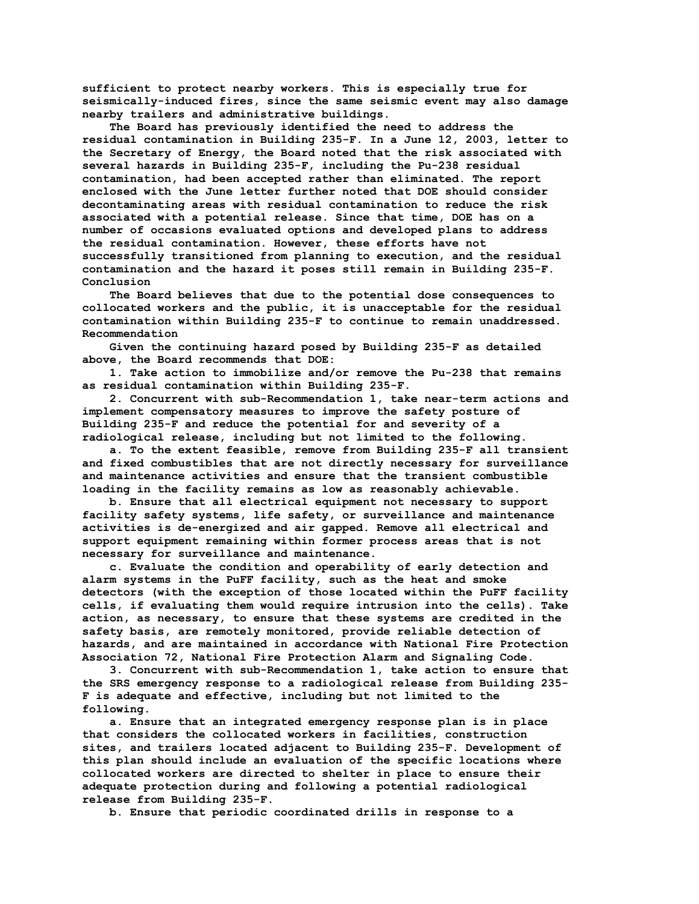**sufficient to protect nearby workers. This is especially true for seismically-induced fires, since the same seismic event may also damage nearby trailers and administrative buildings.**

 **The Board has previously identified the need to address the residual contamination in Building 235-F. In a June 12, 2003, letter to the Secretary of Energy, the Board noted that the risk associated with several hazards in Building 235-F, including the Pu-238 residual contamination, had been accepted rather than eliminated. The report enclosed with the June letter further noted that DOE should consider decontaminating areas with residual contamination to reduce the risk associated with a potential release. Since that time, DOE has on a number of occasions evaluated options and developed plans to address the residual contamination. However, these efforts have not successfully transitioned from planning to execution, and the residual contamination and the hazard it poses still remain in Building 235-F. Conclusion**

 **The Board believes that due to the potential dose consequences to collocated workers and the public, it is unacceptable for the residual contamination within Building 235-F to continue to remain unaddressed. Recommendation**

 **Given the continuing hazard posed by Building 235-F as detailed above, the Board recommends that DOE:**

 **1. Take action to immobilize and/or remove the Pu-238 that remains as residual contamination within Building 235-F.**

 **2. Concurrent with sub-Recommendation 1, take near-term actions and implement compensatory measures to improve the safety posture of Building 235-F and reduce the potential for and severity of a radiological release, including but not limited to the following.**

 **a. To the extent feasible, remove from Building 235-F all transient and fixed combustibles that are not directly necessary for surveillance and maintenance activities and ensure that the transient combustible loading in the facility remains as low as reasonably achievable.**

 **b. Ensure that all electrical equipment not necessary to support facility safety systems, life safety, or surveillance and maintenance activities is de-energized and air gapped. Remove all electrical and support equipment remaining within former process areas that is not necessary for surveillance and maintenance.**

 **c. Evaluate the condition and operability of early detection and alarm systems in the PuFF facility, such as the heat and smoke detectors (with the exception of those located within the PuFF facility cells, if evaluating them would require intrusion into the cells). Take action, as necessary, to ensure that these systems are credited in the safety basis, are remotely monitored, provide reliable detection of hazards, and are maintained in accordance with National Fire Protection Association 72, National Fire Protection Alarm and Signaling Code.**

 **3. Concurrent with sub-Recommendation 1, take action to ensure that the SRS emergency response to a radiological release from Building 235- F is adequate and effective, including but not limited to the following.**

 **a. Ensure that an integrated emergency response plan is in place that considers the collocated workers in facilities, construction sites, and trailers located adjacent to Building 235-F. Development of this plan should include an evaluation of the specific locations where collocated workers are directed to shelter in place to ensure their adequate protection during and following a potential radiological release from Building 235-F.**

 **b. Ensure that periodic coordinated drills in response to a**